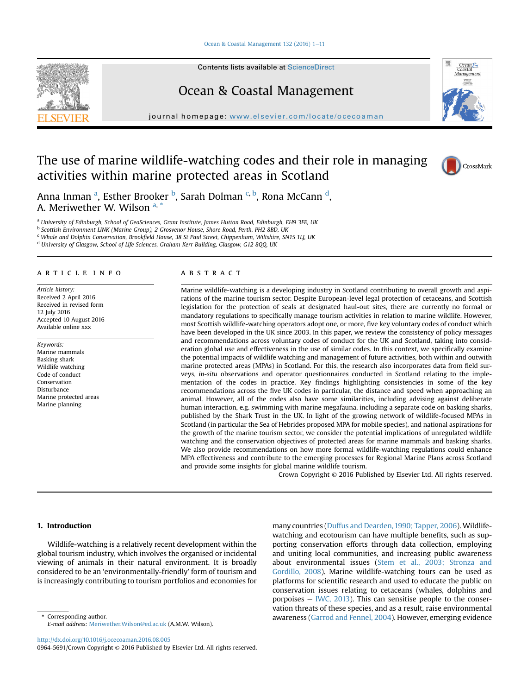## [Ocean & Coastal Management 132 \(2016\) 1](http://dx.doi.org/10.1016/j.ocecoaman.2016.08.005)-[11](http://dx.doi.org/10.1016/j.ocecoaman.2016.08.005)

<span id="page-0-0"></span>

Contents lists available at ScienceDirect

# Ocean & Coastal Management

journal homepage: [www.elsevier.com/locate/ocecoaman](http://www.elsevier.com/locate/ocecoaman)

# The use of marine wildlife-watching codes and their role in managing activities within marine protected areas in Scotland





Anna Inman <sup>a</sup>, Esther Brooker <sup>b</sup>, Sarah Dolman <sup>c, b</sup>, Rona McCann <sup>d</sup>, A. Meriwether W. Wilson a,

a University of Edinburgh, School of GeoSciences, Grant Institute, James Hutton Road, Edinburgh, EH9 3FE, UK

<sup>b</sup> Scottish Environment LINK (Marine Group), 2 Grosvenor House, Shore Road, Perth, PH2 8BD, UK

<sup>c</sup> Whale and Dolphin Conservation, Brookfield House, 38 St Paul Street, Chippenham, Wiltshire, SN15 1LJ, UK

<sup>d</sup> University of Glasgow, School of Life Sciences, Graham Kerr Building, Glasgow, G12 8QQ, UK

## article info

Article history: Received 2 April 2016 Received in revised form 12 July 2016 Accepted 10 August 2016 Available online xxx

Keywords: Marine mammals Basking shark Wildlife watching Code of conduct Conservation Disturbance Marine protected areas Marine planning

# **ABSTRACT**

Marine wildlife-watching is a developing industry in Scotland contributing to overall growth and aspirations of the marine tourism sector. Despite European-level legal protection of cetaceans, and Scottish legislation for the protection of seals at designated haul-out sites, there are currently no formal or mandatory regulations to specifically manage tourism activities in relation to marine wildlife. However, most Scottish wildlife-watching operators adopt one, or more, five key voluntary codes of conduct which have been developed in the UK since 2003. In this paper, we review the consistency of policy messages and recommendations across voluntary codes of conduct for the UK and Scotland, taking into consideration global use and effectiveness in the use of similar codes. In this context, we specifically examine the potential impacts of wildlife watching and management of future activities, both within and outwith marine protected areas (MPAs) in Scotland. For this, the research also incorporates data from field surveys, in-situ observations and operator questionnaires conducted in Scotland relating to the implementation of the codes in practice. Key findings highlighting consistencies in some of the key recommendations across the five UK codes in particular, the distance and speed when approaching an animal. However, all of the codes also have some similarities, including advising against deliberate human interaction, e.g. swimming with marine megafauna, including a separate code on basking sharks, published by the Shark Trust in the UK. In light of the growing network of wildlife-focused MPAs in Scotland (in particular the Sea of Hebrides proposed MPA for mobile species), and national aspirations for the growth of the marine tourism sector, we consider the potential implications of unregulated wildlife watching and the conservation objectives of protected areas for marine mammals and basking sharks. We also provide recommendations on how more formal wildlife-watching regulations could enhance MPA effectiveness and contribute to the emerging processes for Regional Marine Plans across Scotland and provide some insights for global marine wildlife tourism.

Crown Copyright © 2016 Published by Elsevier Ltd. All rights reserved.

# 1. Introduction

Wildlife-watching is a relatively recent development within the global tourism industry, which involves the organised or incidental viewing of animals in their natural environment. It is broadly considered to be an 'environmentally-friendly' form of tourism and is increasingly contributing to tourism portfolios and economies for

Corresponding author. **and Fennel, 2004**). However, emerging evidence E-mail address: [Meriwether.Wilson@ed.ac.uk](mailto:Meriwether.Wilson@ed.ac.uk) (A.M.W. Wilson). **awareness ([Garrod and Fennel, 2004](#page-9-0)). However, emerging evidence** 

<http://dx.doi.org/10.1016/j.ocecoaman.2016.08.005>

many countries ([Duffus and Dearden, 1990; Tapper, 2006](#page-9-0)). Wildlifewatching and ecotourism can have multiple benefits, such as supporting conservation efforts through data collection, employing and uniting local communities, and increasing public awareness about environmental issues ([Stem et al., 2003; Stronza and](#page-10-0) [Gordillo, 2008](#page-10-0)). Marine wildlife-watching tours can be used as platforms for scientific research and used to educate the public on conservation issues relating to cetaceans (whales, dolphins and porpoises  $-$  [IWC, 2013](#page-9-0)). This can sensitise people to the conservation threats of these species, and as a result, raise environmental

<sup>0964-5691/</sup>Crown Copyright © 2016 Published by Elsevier Ltd. All rights reserved.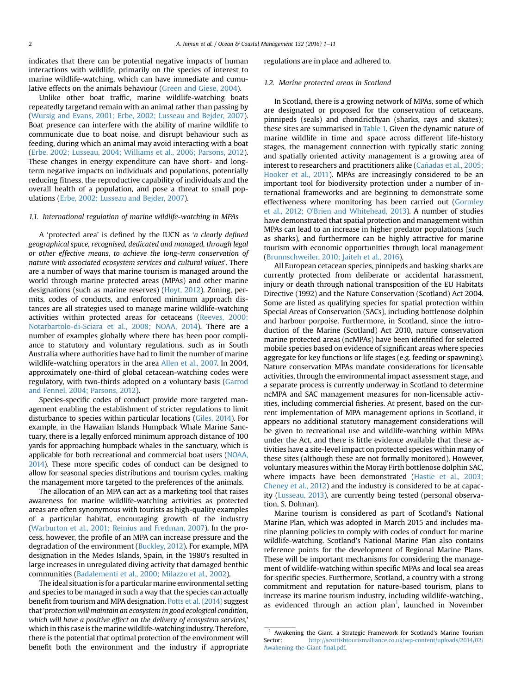indicates that there can be potential negative impacts of human interactions with wildlife, primarily on the species of interest to marine wildlife-watching, which can have immediate and cumulative effects on the animals behaviour [\(Green and Giese, 2004](#page-9-0)).

Unlike other boat traffic, marine wildlife-watching boats repeatedly targetand remain with an animal rather than passing by ([Wursig and Evans, 2001; Erbe, 2002; Lusseau and Bejder, 2007\)](#page-10-0). Boat presence can interfere with the ability of marine wildlife to communicate due to boat noise, and disrupt behaviour such as feeding, during which an animal may avoid interacting with a boat ([Erbe, 2002; Lusseau, 2004; Williams et al., 2006; Parsons, 2012\)](#page-9-0). These changes in energy expenditure can have short- and longterm negative impacts on individuals and populations, potentially reducing fitness, the reproductive capability of individuals and the overall health of a population, and pose a threat to small populations ([Erbe, 2002; Lusseau and Bejder, 2007\)](#page-9-0).

## 1.1. International regulation of marine wildlife-watching in MPAs

A 'protected area' is defined by the IUCN as 'a clearly defined geographical space, recognised, dedicated and managed, through legal or other effective means, to achieve the long-term conservation of nature with associated ecosystem services and cultural values'. There are a number of ways that marine tourism is managed around the world through marine protected areas (MPAs) and other marine designations (such as marine reserves) ([Hoyt, 2012](#page-9-0)). Zoning, permits, codes of conducts, and enforced minimum approach distances are all strategies used to manage marine wildlife-watching activities within protected areas for cetaceans ([Reeves, 2000;](#page-10-0) [Notarbartolo-di-Sciara et al., 2008; NOAA, 2014\)](#page-10-0). There are a number of examples globally where there has been poor compliance to statutory and voluntary regulations, such as in South Australia where authorities have had to limit the number of marine wildlife-watching operators in the area [Allen et al., 2007.](#page-9-0) In 2004, approximately one-third of global cetacean-watching codes were regulatory, with two-thirds adopted on a voluntary basis ([Garrod](#page-9-0) [and Fennel, 2004; Parsons, 2012](#page-9-0)).

Species-specific codes of conduct provide more targeted management enabling the establishment of stricter regulations to limit disturbance to species within particular locations ([Giles, 2014](#page-9-0)). For example, in the Hawaiian Islands Humpback Whale Marine Sanctuary, there is a legally enforced minimum approach distance of 100 yards for approaching humpback whales in the sanctuary, which is applicable for both recreational and commercial boat users ([NOAA,](#page-10-0) [2014\)](#page-10-0). These more specific codes of conduct can be designed to allow for seasonal species distributions and tourism cycles, making the management more targeted to the preferences of the animals.

The allocation of an MPA can act as a marketing tool that raises awareness for marine wildlife-watching activities as protected areas are often synonymous with tourists as high-quality examples of a particular habitat, encouraging growth of the industry ([Warburton et al., 2001; Reinius and Fredman, 2007\)](#page-10-0). In the process, however, the profile of an MPA can increase pressure and the degradation of the environment [\(Buckley, 2012](#page-9-0)). For example, MPA designation in the Medes Islands, Spain, in the 1980's resulted in large increases in unregulated diving activity that damaged benthic communities ([Badalementi et al., 2000; Milazzo et al., 2002](#page-9-0)).

The ideal situation is for a particular marine environmental setting and species to be managed in such a way that the species can actually benefit from tourism and MPA designation. [Potts et al. \(2014\)](#page-10-0) suggest that'protection will maintain an ecosystem in good ecological condition, which will have a positive effect on the delivery of ecosystem services,' which in this case is the marine wildlife-watching industry. Therefore, there is the potential that optimal protection of the environment will benefit both the environment and the industry if appropriate

# regulations are in place and adhered to.

## 1.2. Marine protected areas in Scotland

In Scotland, there is a growing network of MPAs, some of which are designated or proposed for the conservation of cetaceans, pinnipeds (seals) and chondricthyan (sharks, rays and skates); these sites are summarised in [Table 1.](#page-2-0) Given the dynamic nature of marine wildlife in time and space across different life-history stages, the management connection with typically static zoning and spatially oriented activity management is a growing area of interest to researchers and practitioners alike (Cañadas et al., 2005; [Hooker et al., 2011](#page-9-0)). MPAs are increasingly considered to be an important tool for biodiversity protection under a number of international frameworks and are beginning to demonstrate some effectiveness where monitoring has been carried out [\(Gormley](#page-9-0) [et al., 2012; O'Brien and Whitehead, 2013\)](#page-9-0). A number of studies have demonstrated that spatial protection and management within MPAs can lead to an increase in higher predator populations (such as sharks), and furthermore can be highly attractive for marine tourism with economic opportunities through local management ([Brunnschweiler, 2010; Jaiteh et al., 2016\)](#page-9-0).

All European cetacean species, pinnipeds and basking sharks are currently protected from deliberate or accidental harassment, injury or death through national transposition of the EU Habitats Directive (1992) and the Nature Conservation (Scotland) Act 2004. Some are listed as qualifying species for spatial protection within Special Areas of Conservation (SACs), including bottlenose dolphin and harbour porpoise. Furthermore, in Scotland, since the introduction of the Marine (Scotland) Act 2010, nature conservation marine protected areas (ncMPAs) have been identified for selected mobile species based on evidence of significant areas where species aggregate for key functions or life stages (e.g. feeding or spawning). Nature conservation MPAs mandate considerations for licensable activities, through the environmental impact assessment stage, and a separate process is currently underway in Scotland to determine ncMPA and SAC management measures for non-licensable activities, including commercial fisheries. At present, based on the current implementation of MPA management options in Scotland, it appears no additional statutory management considerations will be given to recreational use and wildlife-watching within MPAs under the Act, and there is little evidence available that these activities have a site-level impact on protected species within many of these sites (although these are not formally monitored). However, voluntary measures within the Moray Firth bottlenose dolphin SAC, where impacts have been demonstrated ([Hastie et al., 2003;](#page-9-0) [Cheney et al., 2012](#page-9-0)) and the industry is considered to be at capacity ([Lusseau, 2013\)](#page-10-0), are currently being tested (personal observation, S. Dolman).

Marine tourism is considered as part of Scotland's National Marine Plan, which was adopted in March 2015 and includes marine planning policies to comply with codes of conduct for marine wildlife-watching. Scotland's National Marine Plan also contains reference points for the development of Regional Marine Plans. These will be important mechanisms for considering the management of wildlife-watching within specific MPAs and local sea areas for specific species. Furthermore, Scotland, a country with a strong commitment and reputation for nature-based tourism, plans to increase its marine tourism industry, including wildlife-watching., as evidenced through an action plan<sup>1</sup>, launched in November

<sup>&</sup>lt;sup>1</sup> Awakening the Giant, a Strategic Framework for Scotland's Marine Tourism Sector: [http://scottishtourismalliance.co.uk/wp-content/uploads/2014/02/](http://scottishtourismalliance.co.uk/wp-content/uploads/2014/02/Awakening-the-Giant-final.pdf) [Awakening-the-Giant-](http://scottishtourismalliance.co.uk/wp-content/uploads/2014/02/Awakening-the-Giant-final.pdf)final.pdf.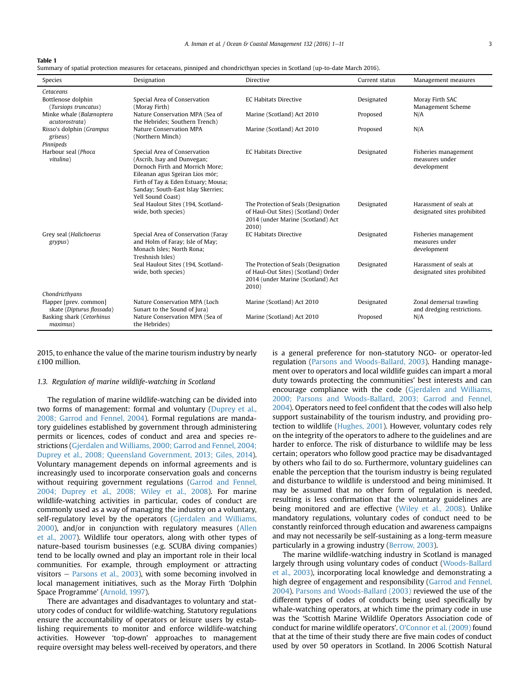A. Inman et al. / Ocean & Coastal Management  $132$  (2016) 1-11  $\hspace{1.6cm}$  3

# <span id="page-2-0"></span>Table 1

|  |  | Summary of spatial protection measures for cetaceans, pinniped and chondricthyan species in Scotland (up-to-date March 2016). |  |
|--|--|-------------------------------------------------------------------------------------------------------------------------------|--|
|  |  |                                                                                                                               |  |

| Species                                             | Designation                                                                                                                                                                                                                         | Directive                                                                                                                 | Current status | Management measures                                   |
|-----------------------------------------------------|-------------------------------------------------------------------------------------------------------------------------------------------------------------------------------------------------------------------------------------|---------------------------------------------------------------------------------------------------------------------------|----------------|-------------------------------------------------------|
| Cetaceans                                           |                                                                                                                                                                                                                                     |                                                                                                                           |                |                                                       |
| Bottlenose dolphin<br>(Tursiops truncatus)          | Special Area of Conservation<br>(Moray Firth)                                                                                                                                                                                       | <b>EC Habitats Directive</b>                                                                                              | Designated     | Moray Firth SAC<br>Management Scheme                  |
| Minke whale (Balænoptera<br>acutorostrata)          | Nature Conservation MPA (Sea of<br>the Hebrides; Southern Trench)                                                                                                                                                                   | Marine (Scotland) Act 2010                                                                                                | Proposed       | N/A                                                   |
| Risso's dolphin (Grampus<br>griseus)<br>Pinnipeds   | Nature Conservation MPA<br>(Northern Minch)                                                                                                                                                                                         | Marine (Scotland) Act 2010                                                                                                | Proposed       | N/A                                                   |
| Harbour seal (Phoca<br>vitulina)                    | Special Area of Conservation<br>(Ascrib, Isay and Dunvegan;<br>Dornoch Firth and Morrich More:<br>Eileanan agus Sgeiran Lios mór;<br>Firth of Tay & Eden Estuary; Mousa;<br>Sanday; South-East Islay Skerries;<br>Yell Sound Coast) | <b>EC Habitats Directive</b>                                                                                              | Designated     | Fisheries management<br>measures under<br>development |
|                                                     | Seal Haulout Sites (194, Scotland-<br>wide, both species)                                                                                                                                                                           | The Protection of Seals (Designation<br>of Haul-Out Sites) (Scotland) Order<br>2014 (under Marine (Scotland) Act<br>2010) | Designated     | Harassment of seals at<br>designated sites prohibited |
| Grey seal (Halichoerus<br>grypus)                   | Special Area of Conservation (Faray<br>and Holm of Faray; Isle of May;<br>Monach Isles; North Rona;<br>Treshnish Isles)                                                                                                             | <b>EC Habitats Directive</b>                                                                                              | Designated     | Fisheries management<br>measures under<br>development |
|                                                     | Seal Haulout Sites (194, Scotland-<br>wide, both species)                                                                                                                                                                           | The Protection of Seals (Designation<br>of Haul-Out Sites) (Scotland) Order<br>2014 (under Marine (Scotland) Act<br>2010) | Designated     | Harassment of seals at<br>designated sites prohibited |
| Chondricthyans                                      |                                                                                                                                                                                                                                     |                                                                                                                           |                |                                                       |
| Flapper [prev. common]<br>skate (Dipturus flossada) | Nature Conservation MPA (Loch<br>Sunart to the Sound of Jura)                                                                                                                                                                       | Marine (Scotland) Act 2010                                                                                                | Designated     | Zonal demersal trawling<br>and dredging restrictions. |
| Basking shark (Cetorhinus<br>maximus)               | Nature Conservation MPA (Sea of<br>the Hebrides)                                                                                                                                                                                    | Marine (Scotland) Act 2010                                                                                                | Proposed       | N/A                                                   |

2015, to enhance the value of the marine tourism industry by nearly £100 million.

## 1.3. Regulation of marine wildlife-watching in Scotland

The regulation of marine wildlife-watching can be divided into two forms of management: formal and voluntary [\(Duprey et al.,](#page-9-0) [2008; Garrod and Fennel, 2004](#page-9-0)). Formal regulations are mandatory guidelines established by government through administering permits or licences, codes of conduct and area and species restrictions [\(Gjerdalen and Williams, 2000; Garrod and Fennel, 2004;](#page-9-0) [Duprey et al., 2008; Queensland Government, 2013; Giles, 2014\)](#page-9-0). Voluntary management depends on informal agreements and is increasingly used to incorporate conservation goals and concerns without requiring government regulations [\(Garrod and Fennel,](#page-9-0) [2004; Duprey et al., 2008; Wiley et al., 2008\)](#page-9-0). For marine wildlife-watching activities in particular, codes of conduct are commonly used as a way of managing the industry on a voluntary, self-regulatory level by the operators [\(Gjerdalen and Williams,](#page-9-0) [2000](#page-9-0)), and/or in conjunction with regulatory measures [\(Allen](#page-9-0) [et al., 2007](#page-9-0)). Wildlife tour operators, along with other types of nature-based tourism businesses (e.g. SCUBA diving companies) tend to be locally owned and play an important role in their local communities. For example, through employment or attracting visitors  $-$  [Parsons et al., 2003](#page-10-0)), with some becoming involved in local management initiatives, such as the Moray Firth 'Dolphin Space Programme' [\(Arnold, 1997\)](#page-9-0).

There are advantages and disadvantages to voluntary and statutory codes of conduct for wildlife-watching. Statutory regulations ensure the accountability of operators or leisure users by establishing requirements to monitor and enforce wildlife-watching activities. However 'top-down' approaches to management require oversight may beless well-received by operators, and there is a general preference for non-statutory NGO- or operator-led regulation [\(Parsons and Woods-Ballard, 2003](#page-10-0)). Handing management over to operators and local wildlife guides can impart a moral duty towards protecting the communities' best interests and can encourage compliance with the code ([Gjerdalen and Williams,](#page-9-0) [2000; Parsons and Woods-Ballard, 2003; Garrod and Fennel,](#page-9-0) [2004\)](#page-9-0). Operators need to feel confident that the codes will also help support sustainability of the tourism industry, and providing protection to wildlife ([Hughes, 2001](#page-9-0)). However, voluntary codes rely on the integrity of the operators to adhere to the guidelines and are harder to enforce. The risk of disturbance to wildlife may be less certain; operators who follow good practice may be disadvantaged by others who fail to do so. Furthermore, voluntary guidelines can enable the perception that the tourism industry is being regulated and disturbance to wildlife is understood and being minimised. It may be assumed that no other form of regulation is needed, resulting is less confirmation that the voluntary guidelines are being monitored and are effective ([Wiley et al., 2008\)](#page-10-0). Unlike mandatory regulations, voluntary codes of conduct need to be constantly reinforced through education and awareness campaigns and may not necessarily be self-sustaining as a long-term measure particularly in a growing industry [\(Berrow, 2003\)](#page-9-0).

The marine wildlife-watching industry in Scotland is managed largely through using voluntary codes of conduct ([Woods-Ballard](#page-10-0) [et al., 2003\)](#page-10-0), incorporating local knowledge and demonstrating a high degree of engagement and responsibility ([Garrod and Fennel,](#page-9-0) [2004\)](#page-9-0). [Parsons and Woods-Ballard \(2003\)](#page-10-0) reviewed the use of the different types of codes of conducts being used specifically by whale-watching operators, at which time the primary code in use was the 'Scottish Marine Wildlife Operators Association code of conduct for marine wildlife operators'. [O'Connor et al. \(2009\)](#page-10-0) found that at the time of their study there are five main codes of conduct used by over 50 operators in Scotland. In 2006 Scottish Natural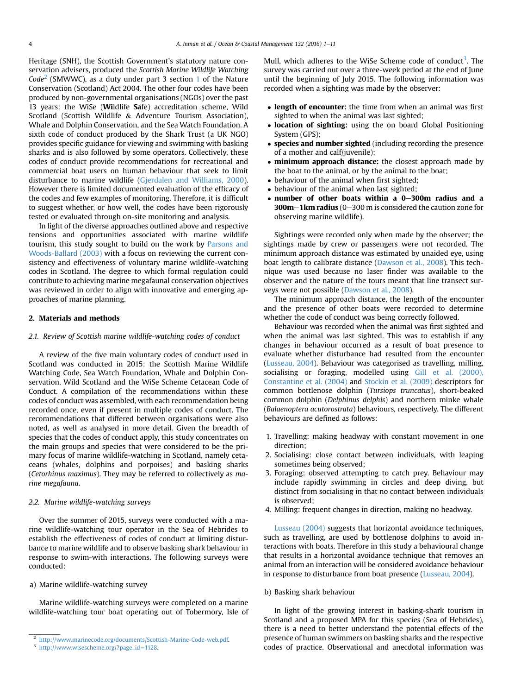Heritage (SNH), the Scottish Government's statutory nature conservation advisers, produced the Scottish Marine Wildlife Watching  $Code<sup>2</sup>$  (SMWWC), as a duty under part 3 section [1](#page-0-0) of the Nature Conservation (Scotland) Act 2004. The other four codes have been produced by non-governmental organisations (NGOs) over the past 13 years: the WiSe (Wildlife Safe) accreditation scheme, Wild Scotland (Scottish Wildlife & Adventure Tourism Association), Whale and Dolphin Conservation, and the Sea Watch Foundation. A sixth code of conduct produced by the Shark Trust (a UK NGO) provides specific guidance for viewing and swimming with basking sharks and is also followed by some operators. Collectively, these codes of conduct provide recommendations for recreational and commercial boat users on human behaviour that seek to limit disturbance to marine wildlife [\(Gjerdalen and Williams, 2000\)](#page-9-0). However there is limited documented evaluation of the efficacy of the codes and few examples of monitoring. Therefore, it is difficult to suggest whether, or how well, the codes have been rigorously tested or evaluated through on-site monitoring and analysis.

In light of the diverse approaches outlined above and respective tensions and opportunities associated with marine wildlife tourism, this study sought to build on the work by [Parsons and](#page-10-0) [Woods-Ballard \(2003\)](#page-10-0) with a focus on reviewing the current consistency and effectiveness of voluntary marine wildlife-watching codes in Scotland. The degree to which formal regulation could contribute to achieving marine megafaunal conservation objectives was reviewed in order to align with innovative and emerging approaches of marine planning.

## 2. Materials and methods

## 2.1. Review of Scottish marine wildlife-watching codes of conduct

A review of the five main voluntary codes of conduct used in Scotland was conducted in 2015: the Scottish Marine Wildlife Watching Code, Sea Watch Foundation, Whale and Dolphin Conservation, Wild Scotland and the WiSe Scheme Cetacean Code of Conduct. A compilation of the recommendations within these codes of conduct was assembled, with each recommendation being recorded once, even if present in multiple codes of conduct. The recommendations that differed between organisations were also noted, as well as analysed in more detail. Given the breadth of species that the codes of conduct apply, this study concentrates on the main groups and species that were considered to be the primary focus of marine wildlife-watching in Scotland, namely cetaceans (whales, dolphins and porpoises) and basking sharks (Cetorhinus maximus). They may be referred to collectively as marine megafauna.

## 2.2. Marine wildlife-watching surveys

Over the summer of 2015, surveys were conducted with a marine wildlife-watching tour operator in the Sea of Hebrides to establish the effectiveness of codes of conduct at limiting disturbance to marine wildlife and to observe basking shark behaviour in response to swim-with interactions. The following surveys were conducted:

## a) Marine wildlife-watching survey

Marine wildlife-watching surveys were completed on a marine wildlife-watching tour boat operating out of Tobermory, Isle of Mull, which adheres to the WiSe Scheme code of conduct<sup>3</sup>. The survey was carried out over a three-week period at the end of June until the beginning of July 2015. The following information was recorded when a sighting was made by the observer:

- length of encounter: the time from when an animal was first sighted to when the animal was last sighted;
- location of sighting: using the on board Global Positioning System (GPS);
- species and number sighted (including recording the presence of a mother and calf/juvenile);
- minimum approach distance: the closest approach made by the boat to the animal, or by the animal to the boat;
- behaviour of the animal when first sighted;
- behaviour of the animal when last sighted;
- $\bullet$  number of other boats within a 0-300m radius and a 300m $-1$ km radius (0-300 m is considered the caution zone for observing marine wildlife).

Sightings were recorded only when made by the observer; the sightings made by crew or passengers were not recorded. The minimum approach distance was estimated by unaided eye, using boat length to calibrate distance [\(Dawson et al., 2008](#page-9-0)). This technique was used because no laser finder was available to the observer and the nature of the tours meant that line transect surveys were not possible ([Dawson et al., 2008](#page-9-0)).

The minimum approach distance, the length of the encounter and the presence of other boats were recorded to determine whether the code of conduct was being correctly followed.

Behaviour was recorded when the animal was first sighted and when the animal was last sighted. This was to establish if any changes in behaviour occurred as a result of boat presence to evaluate whether disturbance had resulted from the encounter ([Lusseau, 2004\)](#page-10-0). Behaviour was categorised as travelling, milling, socialising or foraging, modelled using [Gill et al. \(2000\),](#page-9-0) [Constantine et al. \(2004\)](#page-9-0) and [Stockin et al. \(2009\)](#page-10-0) descriptors for common bottlenose dolphin (Tursiops truncatus), short-beaked common dolphin (Delphinus delphis) and northern minke whale (Balaenoptera acutorostrata) behaviours, respectively. The different behaviours are defined as follows:

- 1. Travelling: making headway with constant movement in one direction;
- 2. Socialising: close contact between individuals, with leaping sometimes being observed;
- 3. Foraging: observed attempting to catch prey. Behaviour may include rapidly swimming in circles and deep diving, but distinct from socialising in that no contact between individuals is observed;
- 4. Milling: frequent changes in direction, making no headway.

[Lusseau \(2004\)](#page-10-0) suggests that horizontal avoidance techniques, such as travelling, are used by bottlenose dolphins to avoid interactions with boats. Therefore in this study a behavioural change that results in a horizontal avoidance technique that removes an animal from an interaction will be considered avoidance behaviour in response to disturbance from boat presence ([Lusseau, 2004](#page-10-0)).

## b) Basking shark behaviour

In light of the growing interest in basking-shark tourism in Scotland and a proposed MPA for this species (Sea of Hebrides), there is a need to better understand the potential effects of the presence of human swimmers on basking sharks and the respective codes of practice. Observational and anecdotal information was

<sup>2</sup> [http://www.marinecode.org/documents/Scottish-Marine-Code-web.pdf.](http://www.marinecode.org/documents/Scottish-Marine-Code-web.pdf)

 $3$  [http://www.wisescheme.org/?page\\_id](http://www.wisescheme.org/?page_id=1128)=[1128.](http://www.wisescheme.org/?page_id=1128)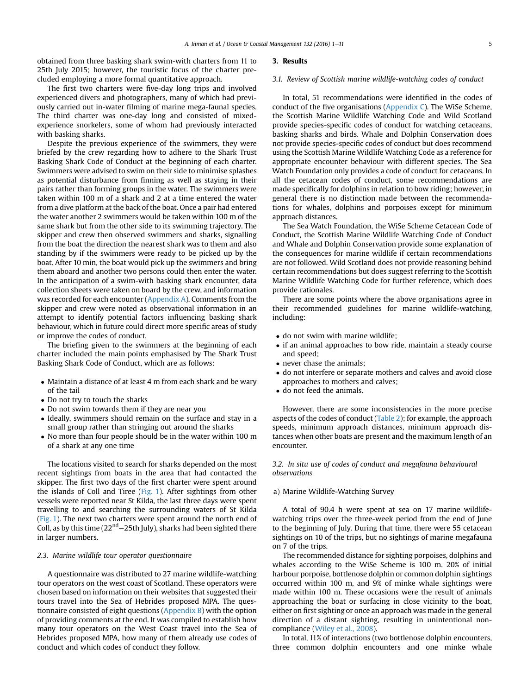obtained from three basking shark swim-with charters from 11 to 25th July 2015; however, the touristic focus of the charter precluded employing a more formal quantitative approach.

The first two charters were five-day long trips and involved experienced divers and photographers, many of which had previously carried out in-water filming of marine mega-faunal species. The third charter was one-day long and consisted of mixedexperience snorkelers, some of whom had previously interacted with basking sharks.

Despite the previous experience of the swimmers, they were briefed by the crew regarding how to adhere to the Shark Trust Basking Shark Code of Conduct at the beginning of each charter. Swimmers were advised to swim on their side to minimise splashes as potential disturbance from finning as well as staying in their pairs rather than forming groups in the water. The swimmers were taken within 100 m of a shark and 2 at a time entered the water from a dive platform at the back of the boat. Once a pair had entered the water another 2 swimmers would be taken within 100 m of the same shark but from the other side to its swimming trajectory. The skipper and crew then observed swimmers and sharks, signalling from the boat the direction the nearest shark was to them and also standing by if the swimmers were ready to be picked up by the boat. After 10 min, the boat would pick up the swimmers and bring them aboard and another two persons could then enter the water. In the anticipation of a swim-with basking shark encounter, data collection sheets were taken on board by the crew, and information was recorded for each encounter (Appendix A). Comments from the skipper and crew were noted as observational information in an attempt to identify potential factors influencing basking shark behaviour, which in future could direct more specific areas of study or improve the codes of conduct.

The briefing given to the swimmers at the beginning of each charter included the main points emphasised by The Shark Trust Basking Shark Code of Conduct, which are as follows:

- Maintain a distance of at least 4 m from each shark and be wary of the tail
- Do not try to touch the sharks
- Do not swim towards them if they are near you
- Ideally, swimmers should remain on the surface and stay in a small group rather than stringing out around the sharks
- No more than four people should be in the water within 100 m of a shark at any one time

The locations visited to search for sharks depended on the most recent sightings from boats in the area that had contacted the skipper. The first two days of the first charter were spent around the islands of Coll and Tiree [\(Fig. 1](#page-5-0)). After sightings from other vessels were reported near St Kilda, the last three days were spent travelling to and searching the surrounding waters of St Kilda ([Fig. 1\)](#page-5-0). The next two charters were spent around the north end of Coll, as by this time  $(22<sup>nd</sup> - 25th July)$ , sharks had been sighted there in larger numbers.

## 2.3. Marine wildlife tour operator questionnaire

A questionnaire was distributed to 27 marine wildlife-watching tour operators on the west coast of Scotland. These operators were chosen based on information on their websites that suggested their tours travel into the Sea of Hebrides proposed MPA. The questionnaire consisted of eight questions (Appendix B) with the option of providing comments at the end. It was compiled to establish how many tour operators on the West Coast travel into the Sea of Hebrides proposed MPA, how many of them already use codes of conduct and which codes of conduct they follow.

#### 3. Results

# 3.1. Review of Scottish marine wildlife-watching codes of conduct

In total, 51 recommendations were identified in the codes of conduct of the five organisations (Appendix C). The WiSe Scheme, the Scottish Marine Wildlife Watching Code and Wild Scotland provide species-specific codes of conduct for watching cetaceans, basking sharks and birds. Whale and Dolphin Conservation does not provide species-specific codes of conduct but does recommend using the Scottish Marine Wildlife Watching Code as a reference for appropriate encounter behaviour with different species. The Sea Watch Foundation only provides a code of conduct for cetaceans. In all the cetacean codes of conduct, some recommendations are made specifically for dolphins in relation to bow riding; however, in general there is no distinction made between the recommendations for whales, dolphins and porpoises except for minimum approach distances.

The Sea Watch Foundation, the WiSe Scheme Cetacean Code of Conduct, the Scottish Marine Wildlife Watching Code of Conduct and Whale and Dolphin Conservation provide some explanation of the consequences for marine wildlife if certain recommendations are not followed. Wild Scotland does not provide reasoning behind certain recommendations but does suggest referring to the Scottish Marine Wildlife Watching Code for further reference, which does provide rationales.

There are some points where the above organisations agree in their recommended guidelines for marine wildlife-watching, including:

- do not swim with marine wildlife;
- if an animal approaches to bow ride, maintain a steady course and speed;
- never chase the animals;
- do not interfere or separate mothers and calves and avoid close approaches to mothers and calves;
- do not feed the animals.

However, there are some inconsistencies in the more precise aspects of the codes of conduct [\(Table 2\)](#page-5-0); for example, the approach speeds, minimum approach distances, minimum approach distances when other boats are present and the maximum length of an encounter.

3.2. In situ use of codes of conduct and megafauna behavioural observations

# a) Marine Wildlife-Watching Survey

A total of 90.4 h were spent at sea on 17 marine wildlifewatching trips over the three-week period from the end of June to the beginning of July. During that time, there were 55 cetacean sightings on 10 of the trips, but no sightings of marine megafauna on 7 of the trips.

The recommended distance for sighting porpoises, dolphins and whales according to the WiSe Scheme is 100 m. 20% of initial harbour porpoise, bottlenose dolphin or common dolphin sightings occurred within 100 m, and 9% of minke whale sightings were made within 100 m. These occasions were the result of animals approaching the boat or surfacing in close vicinity to the boat, either on first sighting or once an approach was made in the general direction of a distant sighting, resulting in unintentional noncompliance [\(Wiley et al., 2008\)](#page-10-0).

In total, 11% of interactions (two bottlenose dolphin encounters, three common dolphin encounters and one minke whale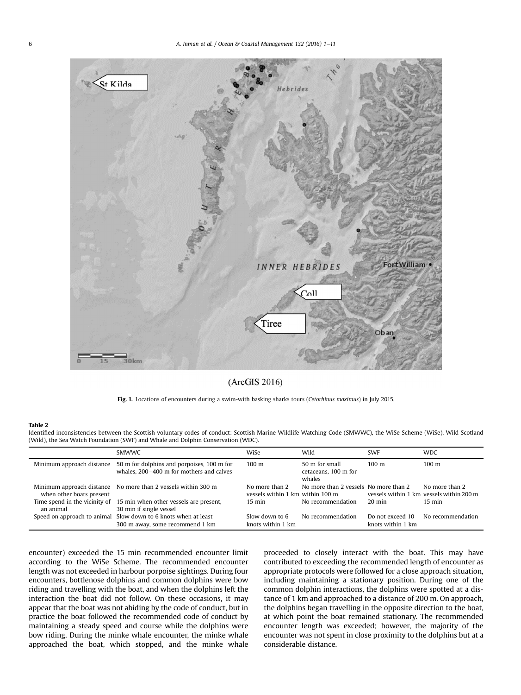<span id="page-5-0"></span>

# (ArcGIS 2016)

Fig. 1. Locations of encounters during a swim-with basking sharks tours (Cetorhinus maximus) in July 2015.

## Table 2

Identified inconsistencies between the Scottish voluntary codes of conduct: Scottish Marine Wildlife Watching Code (SMWWC), the WiSe Scheme (WiSe), Wild Scotland (Wild), the Sea Watch Foundation (SWF) and Whale and Dolphin Conservation (WDC).

|                           | SMWWC                                                                                             | WiSe                                               | Wild                                             | <b>SWF</b>                            | <b>WDC</b>                                                 |
|---------------------------|---------------------------------------------------------------------------------------------------|----------------------------------------------------|--------------------------------------------------|---------------------------------------|------------------------------------------------------------|
| Minimum approach distance | 50 m for dolphins and porpoises, 100 m for<br>whales, 200-400 m for mothers and calves            | $100 \text{ m}$                                    | 50 m for small<br>cetaceans, 100 m for<br>whales | $100 \; \mathrm{m}$                   | $100 \;{\rm m}$                                            |
| when other boats present  | Minimum approach distance No more than 2 vessels within 300 m                                     | No more than 2<br>vessels within 1 km within 100 m | No more than 2 vessels No more than 2            |                                       | No more than 2<br>vessels within 1 km vessels within 200 m |
| an animal                 | Time spend in the vicinity of 15 min when other vessels are present,<br>30 min if single vessel   | $15 \text{ min}$                                   | No recommendation                                | $20 \text{ min}$                      | $15 \text{ min}$                                           |
|                           | Speed on approach to animal Slow down to 6 knots when at least<br>300 m away, some recommend 1 km | Slow down to 6<br>knots within 1 km                | No recommendation                                | Do not exceed 10<br>knots within 1 km | No recommendation                                          |

encounter) exceeded the 15 min recommended encounter limit according to the WiSe Scheme. The recommended encounter length was not exceeded in harbour porpoise sightings. During four encounters, bottlenose dolphins and common dolphins were bow riding and travelling with the boat, and when the dolphins left the interaction the boat did not follow. On these occasions, it may appear that the boat was not abiding by the code of conduct, but in practice the boat followed the recommended code of conduct by maintaining a steady speed and course while the dolphins were bow riding. During the minke whale encounter, the minke whale approached the boat, which stopped, and the minke whale

proceeded to closely interact with the boat. This may have contributed to exceeding the recommended length of encounter as appropriate protocols were followed for a close approach situation, including maintaining a stationary position. During one of the common dolphin interactions, the dolphins were spotted at a distance of 1 km and approached to a distance of 200 m. On approach, the dolphins began travelling in the opposite direction to the boat, at which point the boat remained stationary. The recommended encounter length was exceeded; however, the majority of the encounter was not spent in close proximity to the dolphins but at a considerable distance.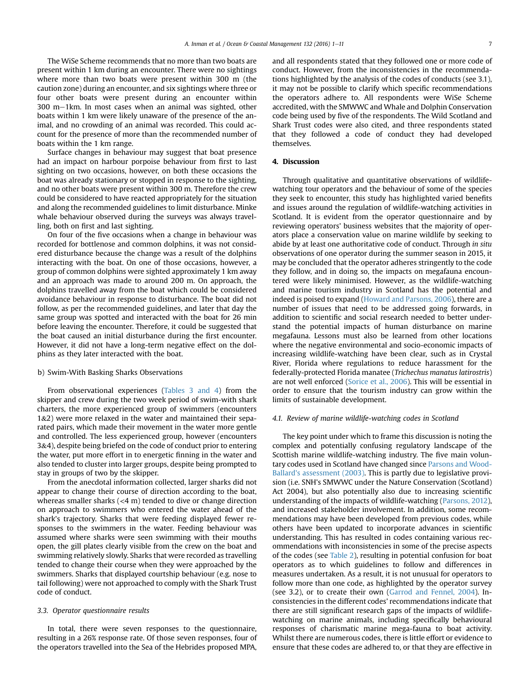The WiSe Scheme recommends that no more than two boats are present within 1 km during an encounter. There were no sightings where more than two boats were present within 300 m (the caution zone) during an encounter, and six sightings where three or four other boats were present during an encounter within  $300$  m $-1$ km. In most cases when an animal was sighted, other boats within 1 km were likely unaware of the presence of the animal, and no crowding of an animal was recorded. This could account for the presence of more than the recommended number of boats within the 1 km range.

Surface changes in behaviour may suggest that boat presence had an impact on harbour porpoise behaviour from first to last sighting on two occasions, however, on both these occasions the boat was already stationary or stopped in response to the sighting, and no other boats were present within 300 m. Therefore the crew could be considered to have reacted appropriately for the situation and along the recommended guidelines to limit disturbance. Minke whale behaviour observed during the surveys was always travelling, both on first and last sighting.

On four of the five occasions when a change in behaviour was recorded for bottlenose and common dolphins, it was not considered disturbance because the change was a result of the dolphins interacting with the boat. On one of those occasions, however, a group of common dolphins were sighted approximately 1 km away and an approach was made to around 200 m. On approach, the dolphins travelled away from the boat which could be considered avoidance behaviour in response to disturbance. The boat did not follow, as per the recommended guidelines, and later that day the same group was spotted and interacted with the boat for 26 min before leaving the encounter. Therefore, it could be suggested that the boat caused an initial disturbance during the first encounter. However, it did not have a long-term negative effect on the dolphins as they later interacted with the boat.

#### b) Swim-With Basking Sharks Observations

From observational experiences ([Tables 3 and 4](#page-7-0)) from the skipper and crew during the two week period of swim-with shark charters, the more experienced group of swimmers (encounters 1&2) were more relaxed in the water and maintained their separated pairs, which made their movement in the water more gentle and controlled. The less experienced group, however (encounters 3&4), despite being briefed on the code of conduct prior to entering the water, put more effort in to energetic finning in the water and also tended to cluster into larger groups, despite being prompted to stay in groups of two by the skipper.

From the anecdotal information collected, larger sharks did not appear to change their course of direction according to the boat, whereas smaller sharks (<4 m) tended to dive or change direction on approach to swimmers who entered the water ahead of the shark's trajectory. Sharks that were feeding displayed fewer responses to the swimmers in the water. Feeding behaviour was assumed where sharks were seen swimming with their mouths open, the gill plates clearly visible from the crew on the boat and swimming relatively slowly. Sharks that were recorded as travelling tended to change their course when they were approached by the swimmers. Sharks that displayed courtship behaviour (e.g. nose to tail following) were not approached to comply with the Shark Trust code of conduct.

## 3.3. Operator questionnaire results

In total, there were seven responses to the questionnaire, resulting in a 26% response rate. Of those seven responses, four of the operators travelled into the Sea of the Hebrides proposed MPA,

and all respondents stated that they followed one or more code of conduct. However, from the inconsistencies in the recommendations highlighted by the analysis of the codes of conducts (see 3.1), it may not be possible to clarify which specific recommendations the operators adhere to. All respondents were WiSe Scheme accredited, with the SMWWC and Whale and Dolphin Conservation code being used by five of the respondents. The Wild Scotland and Shark Trust codes were also cited, and three respondents stated that they followed a code of conduct they had developed themselves.

## 4. Discussion

Through qualitative and quantitative observations of wildlifewatching tour operators and the behaviour of some of the species they seek to encounter, this study has highlighted varied benefits and issues around the regulation of wildlife-watching activities in Scotland. It is evident from the operator questionnaire and by reviewing operators' business websites that the majority of operators place a conservation value on marine wildlife by seeking to abide by at least one authoritative code of conduct. Through in situ observations of one operator during the summer season in 2015, it may be concluded that the operator adheres stringently to the code they follow, and in doing so, the impacts on megafauna encountered were likely minimised. However, as the wildlife-watching and marine tourism industry in Scotland has the potential and indeed is poised to expand [\(Howard and Parsons, 2006](#page-9-0)), there are a number of issues that need to be addressed going forwards, in addition to scientific and social research needed to better understand the potential impacts of human disturbance on marine megafauna. Lessons must also be learned from other locations where the negative environmental and socio-economic impacts of increasing wildlife-watching have been clear, such as in Crystal River, Florida where regulations to reduce harassment for the federally-protected Florida manatee (Trichechus manatus latirostris) are not well enforced [\(Sorice et al., 2006\)](#page-10-0). This will be essential in order to ensure that the tourism industry can grow within the limits of sustainable development.

## 4.1. Review of marine wildlife-watching codes in Scotland

The key point under which to frame this discussion is noting the complex and potentially confusing regulatory landscape of the Scottish marine wildlife-watching industry. The five main voluntary codes used in Scotland have changed since [Parsons and Wood-](#page-10-0)[Ballard's assessment \(2003\).](#page-10-0) This is partly due to legislative provision (i.e. SNH's SMWWC under the Nature Conservation (Scotland) Act 2004), but also potentially also due to increasing scientific understanding of the impacts of wildlife-watching [\(Parsons, 2012\)](#page-10-0), and increased stakeholder involvement. In addition, some recommendations may have been developed from previous codes, while others have been updated to incorporate advances in scientific understanding. This has resulted in codes containing various recommendations with inconsistencies in some of the precise aspects of the codes (see [Table 2\)](#page-5-0), resulting in potential confusion for boat operators as to which guidelines to follow and differences in measures undertaken. As a result, it is not unusual for operators to follow more than one code, as highlighted by the operator survey (see 3.2), or to create their own [\(Garrod and Fennel, 2004](#page-9-0)). Inconsistencies in the different codes' recommendations indicate that there are still significant research gaps of the impacts of wildlifewatching on marine animals, including specifically behavioural responses of charismatic marine mega-fauna to boat activity. Whilst there are numerous codes, there is little effort or evidence to ensure that these codes are adhered to, or that they are effective in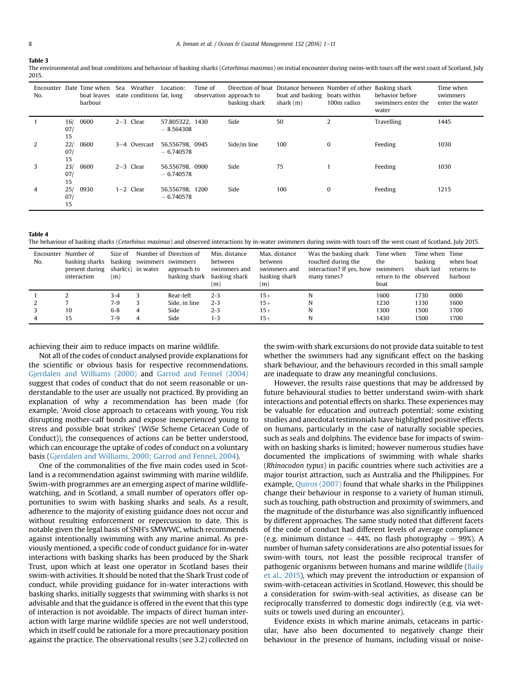#### <span id="page-7-0"></span>Table 3

The environmental and boat conditions and behaviour of basking sharks (Cetorhinus maximus) on initial encounter during swim-with tours off the west coast of Scotland, July 2015.

| Encounter<br>No. |                  | Date Time when<br>boat leaves<br>harbour | Sea Weather<br>state conditions lat, long | Location:                      | Time of | observation approach to<br>basking shark | Direction of boat Distance between Number of other Basking shark<br>boat and basking boats within<br>shark $(m)$ | 100m radius  | behavior before<br>swimmers enter the<br>water | Time when<br>swimmers<br>enter the water |
|------------------|------------------|------------------------------------------|-------------------------------------------|--------------------------------|---------|------------------------------------------|------------------------------------------------------------------------------------------------------------------|--------------|------------------------------------------------|------------------------------------------|
|                  | 16/<br>07/<br>15 | 0600                                     | $2-3$ Clear                               | 57,805322, 1430<br>$-8.564308$ |         | Side                                     | 50                                                                                                               | 2            | Travelling                                     | 1445                                     |
| 2                | 221<br>07<br>15  | 0600                                     | 3-4 Overcast                              | 56.556798, 0945<br>$-6.740578$ |         | Side/in line                             | 100                                                                                                              | $\mathbf{0}$ | Feeding                                        | 1030                                     |
| 3                | 23/<br>07<br>15  | 0600                                     | $2-3$ Clear                               | 56,556798, 0900<br>$-6.740578$ |         | Side                                     | 75                                                                                                               |              | Feeding                                        | 1030                                     |
| 4                | 25/<br>07/<br>15 | 0930                                     | $1-2$ Clear                               | 56.556798, 1200<br>$-6.740578$ |         | Side                                     | 100                                                                                                              | $\mathbf{0}$ | Feeding                                        | 1215                                     |

Table 4

The behaviour of basking sharks (Cetorhinus maximus) and observed interactions by in-water swimmers during swim-with tours off the west coast of Scotland, July 2015.

| No. | Encounter Number of<br>basking sharks<br>present during<br>interaction | Size of<br>(m) | shark(s) in water | Number of Direction of<br>basking swimmers swimmers<br>approach to<br>basking shark | Min. distance<br>between<br>swimmers and<br>basking shark<br>(m) | Max. distance<br>between<br>swimmers and<br>basking shark<br>(m) | Was the basking shark<br>touched during the<br>interaction? If yes, how<br>many times? | Time when<br>the<br>swimmers<br>return to the observed<br>boat | Time when Time<br>basking<br>shark last | when boat<br>returns to<br>harbour |
|-----|------------------------------------------------------------------------|----------------|-------------------|-------------------------------------------------------------------------------------|------------------------------------------------------------------|------------------------------------------------------------------|----------------------------------------------------------------------------------------|----------------------------------------------------------------|-----------------------------------------|------------------------------------|
|     |                                                                        | $3 - 4$        |                   | Rear-left                                                                           | $2 - 3$                                                          | $15+$                                                            | N                                                                                      | 1600                                                           | 1730                                    | 0000                               |
|     |                                                                        | $7-9$          |                   | Side, in line                                                                       | $2 - 3$                                                          | $15+$                                                            | N                                                                                      | 1230                                                           | 1330                                    | 1600                               |
|     | 10                                                                     | $6 - 8$        | 4                 | Side                                                                                | $2 - 3$                                                          | $15+$                                                            | N                                                                                      | 1300                                                           | 1500                                    | 1700                               |
|     | 15                                                                     | 7-9            |                   | Side                                                                                | 1-3                                                              | $15+$                                                            | N                                                                                      | 1430                                                           | 1500                                    | 1700                               |

achieving their aim to reduce impacts on marine wildlife.

Not all of the codes of conduct analysed provide explanations for the scientific or obvious basis for respective recommendations. [Gjerdalen and Williams \(2000\)](#page-9-0) and [Garrod and Fennel \(2004\)](#page-9-0) suggest that codes of conduct that do not seem reasonable or understandable to the user are usually not practiced. By providing an explanation of why a recommendation has been made (for example, 'Avoid close approach to cetaceans with young. You risk disrupting mother-calf bonds and expose inexperienced young to stress and possible boat strikes' (WiSe Scheme Cetacean Code of Conduct)), the consequences of actions can be better understood, which can encourage the uptake of codes of conduct on a voluntary basis ([Gjerdalen and Williams, 2000; Garrod and Fennel, 2004\)](#page-9-0).

One of the commonalities of the five main codes used in Scotland is a recommendation against swimming with marine wildlife. Swim-with programmes are an emerging aspect of marine wildlifewatching, and in Scotland, a small number of operators offer opportunities to swim with basking sharks and seals. As a result, adherence to the majority of existing guidance does not occur and without resulting enforcement or repercussion to date. This is notable given the legal basis of SNH's SMWWC, which recommends against intentionally swimming with any marine animal. As previously mentioned, a specific code of conduct guidance for in-water interactions with basking sharks has been produced by the Shark Trust, upon which at least one operator in Scotland bases their swim-with activities. It should be noted that the Shark Trust code of conduct, while providing guidance for in-water interactions with basking sharks, initially suggests that swimming with sharks is not advisable and that the guidance is offered in the event that this type of interaction is not avoidable. The impacts of direct human interaction with large marine wildlife species are not well understood, which in itself could be rationale for a more precautionary position against the practice. The observational results (see 3.2) collected on the swim-with shark excursions do not provide data suitable to test whether the swimmers had any significant effect on the basking shark behaviour, and the behaviours recorded in this small sample are inadequate to draw any meaningful conclusions.

However, the results raise questions that may be addressed by future behavioural studies to better understand swim-with shark interactions and potential effects on sharks. These experiences may be valuable for education and outreach potential; some existing studies and anecdotal testimonials have highlighted positive effects on humans, particularly in the case of naturally sociable species, such as seals and dolphins. The evidence base for impacts of swimwith on basking sharks is limited; however numerous studies have documented the implications of swimming with whale sharks (Rhinocodon typus) in pacific countries where such activities are a major tourist attraction, such as Australia and the Philippines. For example, [Quiros \(2007\)](#page-10-0) found that whale sharks in the Philippines change their behaviour in response to a variety of human stimuli, such as touching, path obstruction and proximity of swimmers, and the magnitude of the disturbance was also significantly influenced by different approaches. The same study noted that different facets of the code of conduct had different levels of average compliance (e.g. minimum distance  $= 44\%$ , no flash photography  $= 99\%$ ). A number of human safety considerations are also potential issues for swim-with tours, not least the possible reciprocal transfer of pathogenic organisms between humans and marine wildlife ([Baily](#page-9-0) [et al., 2015](#page-9-0)), which may prevent the introduction or expansion of swim-with-cetacean activities in Scotland. However, this should be a consideration for swim-with-seal activities, as disease can be reciprocally transferred to domestic dogs indirectly (e.g. via wetsuits or towels used during an encounter).

Evidence exists in which marine animals, cetaceans in particular, have also been documented to negatively change their behaviour in the presence of humans, including visual or noise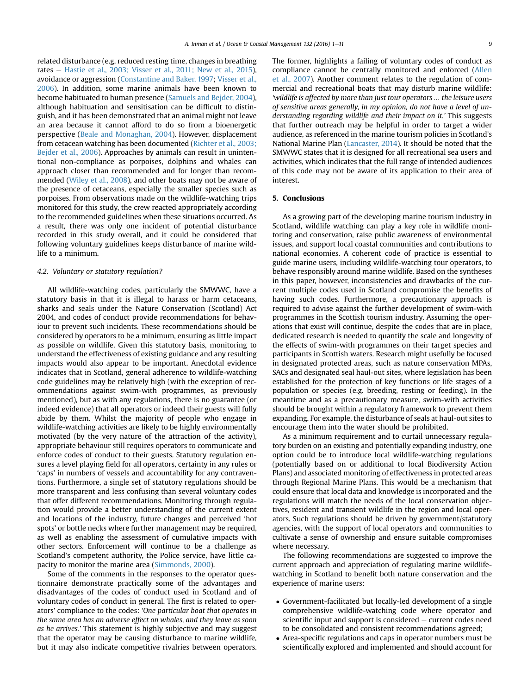related disturbance (e.g. reduced resting time, changes in breathing rates e [Hastie et al., 2003; Visser et al., 2011; New et al., 2015\)](#page-9-0), avoidance or aggression ([Constantine and Baker, 1997;](#page-9-0) [Visser et al.,](#page-10-0) [2006\)](#page-10-0). In addition, some marine animals have been known to become habituated to human presence ([Samuels and Bejder, 2004\)](#page-10-0), although habituation and sensitisation can be difficult to distinguish, and it has been demonstrated that an animal might not leave an area because it cannot afford to do so from a bioenergetic perspective ([Beale and Monaghan, 2004\)](#page-9-0). However, displacement from cetacean watching has been documented [\(Richter et al., 2003;](#page-10-0) [Bejder et al., 2006\)](#page-10-0). Approaches by animals can result in unintentional non-compliance as porpoises, dolphins and whales can approach closer than recommended and for longer than recommended [\(Wiley et al., 2008\)](#page-10-0), and other boats may not be aware of the presence of cetaceans, especially the smaller species such as porpoises. From observations made on the wildlife-watching trips monitored for this study, the crew reacted appropriately according to the recommended guidelines when these situations occurred. As a result, there was only one incident of potential disturbance recorded in this study overall, and it could be considered that following voluntary guidelines keeps disturbance of marine wildlife to a minimum.

## 4.2. Voluntary or statutory regulation?

All wildlife-watching codes, particularly the SMWWC, have a statutory basis in that it is illegal to harass or harm cetaceans, sharks and seals under the Nature Conservation (Scotland) Act 2004, and codes of conduct provide recommendations for behaviour to prevent such incidents. These recommendations should be considered by operators to be a minimum, ensuring as little impact as possible on wildlife. Given this statutory basis, monitoring to understand the effectiveness of existing guidance and any resulting impacts would also appear to be important. Anecdotal evidence indicates that in Scotland, general adherence to wildlife-watching code guidelines may be relatively high (with the exception of recommendations against swim-with programmes, as previously mentioned), but as with any regulations, there is no guarantee (or indeed evidence) that all operators or indeed their guests will fully abide by them. Whilst the majority of people who engage in wildlife-watching activities are likely to be highly environmentally motivated (by the very nature of the attraction of the activity), appropriate behaviour still requires operators to communicate and enforce codes of conduct to their guests. Statutory regulation ensures a level playing field for all operators, certainty in any rules or 'caps' in numbers of vessels and accountability for any contraventions. Furthermore, a single set of statutory regulations should be more transparent and less confusing than several voluntary codes that offer different recommendations. Monitoring through regulation would provide a better understanding of the current extent and locations of the industry, future changes and perceived 'hot spots' or bottle necks where further management may be required, as well as enabling the assessment of cumulative impacts with other sectors. Enforcement will continue to be a challenge as Scotland's competent authority, the Police service, have little capacity to monitor the marine area ([Simmonds, 2000\)](#page-10-0).

Some of the comments in the responses to the operator questionnaire demonstrate practically some of the advantages and disadvantages of the codes of conduct used in Scotland and of voluntary codes of conduct in general. The first is related to operators' compliance to the codes: 'One particular boat that operates in the same area has an adverse effect on whales, and they leave as soon as he arrives.' This statement is highly subjective and may suggest that the operator may be causing disturbance to marine wildlife, but it may also indicate competitive rivalries between operators.

The former, highlights a failing of voluntary codes of conduct as compliance cannot be centrally monitored and enforced [\(Allen](#page-9-0) [et al., 2007\)](#page-9-0). Another comment relates to the regulation of commercial and recreational boats that may disturb marine wildlife: 'wildlife is affected by more than just tour operators … the leisure users of sensitive areas generally, in my opinion, do not have a level of understanding regarding wildlife and their impact on it.' This suggests that further outreach may be helpful in order to target a wider audience, as referenced in the marine tourism policies in Scotland's National Marine Plan ([Lancaster, 2014](#page-9-0)). It should be noted that the SMWWC states that it is designed for all recreational sea users and activities, which indicates that the full range of intended audiences of this code may not be aware of its application to their area of interest.

## 5. Conclusions

As a growing part of the developing marine tourism industry in Scotland, wildlife watching can play a key role in wildlife monitoring and conservation, raise public awareness of environmental issues, and support local coastal communities and contributions to national economies. A coherent code of practice is essential to guide marine users, including wildlife-watching tour operators, to behave responsibly around marine wildlife. Based on the syntheses in this paper, however, inconsistencies and drawbacks of the current multiple codes used in Scotland compromise the benefits of having such codes. Furthermore, a precautionary approach is required to advise against the further development of swim-with programmes in the Scottish tourism industry. Assuming the operations that exist will continue, despite the codes that are in place, dedicated research is needed to quantify the scale and longevity of the effects of swim-with programmes on their target species and participants in Scottish waters. Research might usefully be focused in designated protected areas, such as nature conservation MPAs, SACs and designated seal haul-out sites, where legislation has been established for the protection of key functions or life stages of a population or species (e.g. breeding, resting or feeding). In the meantime and as a precautionary measure, swim-with activities should be brought within a regulatory framework to prevent them expanding. For example, the disturbance of seals at haul-out sites to encourage them into the water should be prohibited.

As a minimum requirement and to curtail unnecessary regulatory burden on an existing and potentially expanding industry, one option could be to introduce local wildlife-watching regulations (potentially based on or additional to local Biodiversity Action Plans) and associated monitoring of effectiveness in protected areas through Regional Marine Plans. This would be a mechanism that could ensure that local data and knowledge is incorporated and the regulations will match the needs of the local conservation objectives, resident and transient wildlife in the region and local operators. Such regulations should be driven by government/statutory agencies, with the support of local operators and communities to cultivate a sense of ownership and ensure suitable compromises where necessary.

The following recommendations are suggested to improve the current approach and appreciation of regulating marine wildlifewatching in Scotland to benefit both nature conservation and the experience of marine users:

- Government-facilitated but locally-led development of a single comprehensive wildlife-watching code where operator and scientific input and support is considered  $-$  current codes need to be consolidated and consistent recommendations agreed;
- Area-specific regulations and caps in operator numbers must be scientifically explored and implemented and should account for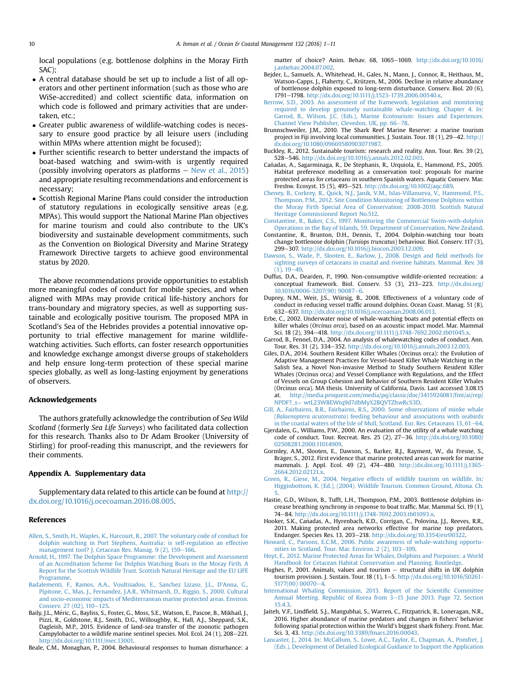<span id="page-9-0"></span>local populations (e.g. bottlenose dolphins in the Moray Firth SAC);

- A central database should be set up to include a list of all operators and other pertinent information (such as those who are WiSe-accredited) and collect scientific data, information on which code is followed and primary activities that are undertaken, etc.;
- Greater public awareness of wildlife-watching codes is necessary to ensure good practice by all leisure users (including within MPAs where attention might be focused);
- Further scientific research to better understand the impacts of boat-based watching and swim-with is urgently required (possibly involving operators as platforms  $-$  [New et al., 2015\)](#page-10-0) and appropriate resulting recommendations and enforcement is necessary;
- Scottish Regional Marine Plans could consider the introduction of statutory regulations in ecologically sensitive areas (e.g. MPAs). This would support the National Marine Plan objectives for marine tourism and could also contribute to the UK's biodiversity and sustainable development commitments, such as the Convention on Biological Diversity and Marine Strategy Framework Directive targets to achieve good environmental status by 2020.

The above recommendations provide opportunities to establish more meaningful codes of conduct for mobile species, and when aligned with MPAs may provide critical life-history anchors for trans-boundary and migratory species, as well as supporting sustainable and ecologically positive tourism. The proposed MPA in Scotland's Sea of the Hebrides provides a potential innovative opportunity to trial effective management for marine wildlifewatching activities. Such efforts, can foster research opportunities and knowledge exchange amongst diverse groups of stakeholders and help ensure long-term protection of these special marine species globally, as well as long-lasting enjoyment by generations of observers.

## Acknowledgements

The authors gratefully acknowledge the contribution of Sea Wild Scotland (formerly Sea Life Surveys) who facilitated data collection for this research. Thanks also to Dr Adam Brooker (University of Stirling) for proof-reading this manuscript, and the reviewers for their comments.

## Appendix A. Supplementary data

Supplementary data related to this article can be found at [http://](http://dx.doi.org/10.1016/j.ocecoaman.2016.08.005) [dx.doi.org/10.1016/j.ocecoaman.2016.08.005.](http://dx.doi.org/10.1016/j.ocecoaman.2016.08.005)

#### References

- [Allen, S., Smith, H., Waples, K., Harcourt, R., 2007. The voluntary code of conduct for](http://refhub.elsevier.com/S0964-5691(16)30158-2/sref1) [dolphin watching in Port Stephens, Australia: is self-regulation an effective](http://refhub.elsevier.com/S0964-5691(16)30158-2/sref1)<br>[management tool? J. Cetacean Res. Manag. 9 \(2\), 159](http://refhub.elsevier.com/S0964-5691(16)30158-2/sref1)–[166](http://refhub.elsevier.com/S0964-5691(16)30158-2/sref1).
- [Arnold, H., 1997. The Dolphin Space Programme: the Development and Assessment](http://refhub.elsevier.com/S0964-5691(16)30158-2/sref2) [of an Accreditation Scheme for Dolphin Watching Boats in the Moray Firth. A](http://refhub.elsevier.com/S0964-5691(16)30158-2/sref2) [Report for the Scottish Wildlife Trust. Scottish Natural Heritage and the EU LIFE](http://refhub.elsevier.com/S0964-5691(16)30158-2/sref2) [Programme](http://refhub.elsevier.com/S0964-5691(16)30158-2/sref2).
- [Badalementi, F., Ramos, A.A., Voultsiadou, E., Sanchez Lizaso, J.L., D'Anna, G.,](http://refhub.elsevier.com/S0964-5691(16)30158-2/sref4) [Pipitone, C., Mas, J., Fernandez, J.A.R., Whitmarsh, D., Riggio, S., 2000. Cultural](http://refhub.elsevier.com/S0964-5691(16)30158-2/sref4) [and socio-economic impacts of Mediterranean marine protected areas. Environ.](http://refhub.elsevier.com/S0964-5691(16)30158-2/sref4) [Conserv. 27 \(02\), 110](http://refhub.elsevier.com/S0964-5691(16)30158-2/sref4)-[125.](http://refhub.elsevier.com/S0964-5691(16)30158-2/sref4)
- Baily, J.L., Méric, G., Bayliss, S., Foster, G., Moss, S.E., Watson, E., Pascoe, B., Mikhail, J., Pizzi, R., Goldstone, R.J., Smith, D.G., Willoughby, K., Hall, A.J., Sheppard, S.K., Dagleish, M.P., 2015. Evidence of land-sea transfer of the zoonotic pathogen Campylobacter to a wildlife marine sentinel species. Mol. Ecol. 24  $(1)$ , 208-221. [http://dx.doi.org/10.1111/mec.13001.](http://dx.doi.org/10.1111/mec.13001)

Beale, C.M., Monaghan, P., 2004. Behavioural responses to human disturbance: a

matter of choice? Anim. Behav. 68, 1065-1069. [http://dx.doi.org/10.1016/](http://dx.doi.org/10.1016/j.anbehav.2004.07.002) [j.anbehav.2004.07.002.](http://dx.doi.org/10.1016/j.anbehav.2004.07.002)

- Bejder, L., Samuels, A., Whitehead, H., Gales, N., Mann, J., Connor, R., Heithaus, M., Watson-Capps, J., Flaherty, C., Krützen, M., 2006. Decline in relative abundance of bottlenose dolphin exposed to long-term disturbance. Conserv. Biol. 20 (6), 1791-1798. <http://dx.doi.org/10.1111/j.1523-1739.2006.00540.x>.
- [Berrow, S.D., 2003. An assessment of the framework, legislation and monitoring](http://refhub.elsevier.com/S0964-5691(16)30158-2/sref8) [required to develop genuinely sustainable whale-watching. Chapter 4. In:](http://refhub.elsevier.com/S0964-5691(16)30158-2/sref8) [Garrod, B., Wilson, J.C. \(Eds.\), Marine Ecotourism: Issues and Experiences.](http://refhub.elsevier.com/S0964-5691(16)30158-2/sref8) [Channel View Publisher, Clevedon, UK, pp. 66](http://refhub.elsevier.com/S0964-5691(16)30158-2/sref8)–[78](http://refhub.elsevier.com/S0964-5691(16)30158-2/sref8).
- Brunnschweiler, J.M., 2010. The Shark Reef Marine Reserve: a marine tourism project in Fiji involving local communities. J. Sustain. Tour. 18 (1), 29-42. [http://](http://dx.doi.org/10.1080/09669580903071987) [dx.doi.org/10.1080/09669580903071987.](http://dx.doi.org/10.1080/09669580903071987)
- Buckley, R., 2012. Sustainable tourism: research and reality. Ann. Tour. Res. 39 (2), 528-546. [http://dx.doi.org/10.1016/j.annals.2012.02.003.](http://dx.doi.org/10.1016/j.annals.2012.02.003)
- Canadas, A., Sagarminaga, R., De Stephanis, R., Urquiola, E., Hammond, P.S., 2005. ~ Habitat preference modelling as a conservation tool: proposals for marine protected areas for cetaceans in southern Spanish waters. Aquatic Conserv. Mar.
- Freshw. Ecosyst. 15 (5), 495–521. [http://dx.doi.org/10.1002/aqc.689.](http://dx.doi.org/10.1002/aqc.689)<br>[Cheney, B., Corkrey, R., Quick, N.J., Janik, V.M., Islas-Villanueva, V., Hammond, P.S.,](http://refhub.elsevier.com/S0964-5691(16)30158-2/sref12) [Thompson, P.M., 2012. Site Condition Monitoring of Bottlenose Dolphins within](http://refhub.elsevier.com/S0964-5691(16)30158-2/sref12) [the Moray Firth Special Area of Conservation: 2008-2010. Scottish Natural](http://refhub.elsevier.com/S0964-5691(16)30158-2/sref12) [Heritage Commissioned Report No.512.](http://refhub.elsevier.com/S0964-5691(16)30158-2/sref12)
- [Constantine, R., Baker, C.S., 1997. Monitoring the Commercial Swim-with-dolphin](http://refhub.elsevier.com/S0964-5691(16)30158-2/sref64) [Operations in the Bay of Islands, 59. Department of Conservation, New Zealand](http://refhub.elsevier.com/S0964-5691(16)30158-2/sref64).
- Constantine, R., Brunton, D.H., Dennis, T., 2004. Dolphin-watching tour boats change bottlenose dolphin (Tursiops truncatus) behaviour. Biol. Conserv. 117 (3), 299-307. [http://dx.doi.org/10.1016/j.biocon.2003.12.009.](http://dx.doi.org/10.1016/j.biocon.2003.12.009)
- [Dawson, S., Wade, P., Slooten, E., Barlow, J., 2008. Design and](http://refhub.elsevier.com/S0964-5691(16)30158-2/sref14) field methods for [sighting surveys of cetaceans in coastal and riverine habitats. Mammal. Rev. 38](http://refhub.elsevier.com/S0964-5691(16)30158-2/sref14)  $(1)$ , 19 $-49$  $-49$ .
- Duffus, D.A., Dearden, P., 1990. Non-consumptive wildlife-oriented recreation: a conceptual framework. Biol. Conserv. 53 (3), 213-223. [http://dx.doi.org/](http://dx.doi.org/10.1016/0006-3207(90) 90087–6) [10.1016/0006-3207\(90\) 90087](http://dx.doi.org/10.1016/0006-3207(90) 90087–6)-[6](http://dx.doi.org/10.1016/0006-3207(90) 90087–6)
- Duprey, N.M., Weir, J.S., Würsig, B., 2008. Effectiveness of a voluntary code of conduct in reducing vessel traffic around dolphins. Ocean Coast. Manag. 51 (8), 632e637. <http://dx.doi.org/10.1016/j.ocecoaman.2008.06.013>.
- Erbe, C., 2002. Underwater noise of whale-watching boats and potential effects on killer whales (Orcinus orca), based on an acoustic impact model. Mar. Mammal Sci. 18 (2), 394-418. [http://dx.doi.org/10.1111/j.1748-7692.2002.tb01045.x.](http://dx.doi.org/10.1111/j.1748-7692.2002.tb01045.x)
- Garrod, B., Fennel, D.A., 2004. An analysis of whalewatching codes of conduct. Ann. Tour. Res. 31 (2), 334-352. <http://dx.doi.org/10.1016/j.annals.2003.12.003>.
- Giles, D.A., 2014. Southern Resident Killer Whales (Orcinus orca): the Evolution of Adaptive Management Practices for Vessel-based Killer Whale Watching in the Salish Sea, a Novel Non-invasive Method to Study Southern Resident Killer Whales (Orcinus orca) and Vessel Compliance with Regulations, and the Effect of Vessels on Group Cohesion and Behavior of Southern Resident Killer Whales (Orcinus orca). MA thesis. University of California, Davis. Last accessed 3.08.15 at. [http://media.proquest.com/media/pq/classic/doc/3415926081/fmt/ai/rep/](http://media.proquest.com/media/pq/classic/doc/3415926081/fmt/ai/rep/NPDF?_s=%20wtL23W8EWtq9d7dbMy%2BQVTZhwRc%3D) [NPDF?\\_s](http://media.proquest.com/media/pq/classic/doc/3415926081/fmt/ai/rep/NPDF?_s=%20wtL23W8EWtq9d7dbMy%2BQVTZhwRc%3D)= [wtL23W8EWtq9d7dbMy%2BQVTZhwRc%3D.](http://media.proquest.com/media/pq/classic/doc/3415926081/fmt/ai/rep/NPDF?_s=%20wtL23W8EWtq9d7dbMy%2BQVTZhwRc%3D)
- [Gill, A., Fairbairns, B.R., Fairbairns, R.S., 2000. Some observations of minke whale](http://refhub.elsevier.com/S0964-5691(16)30158-2/sref20) (Balaenoptera acutorostrata[\) feeding behaviour and associations with seabirds](http://refhub.elsevier.com/S0964-5691(16)30158-2/sref20) [in the coastal waters of the Isle of Mull, Scotland. Eur. Res. Cetaceans 13, 61](http://refhub.elsevier.com/S0964-5691(16)30158-2/sref20)-[64](http://refhub.elsevier.com/S0964-5691(16)30158-2/sref20).
- Gjerdalen, G., Williams, P.W., 2000. An evaluation of the utility of a whale watching code of conduct. Tour. Recreat. Res. 25 (2), 27-36. [http://dx.doi.org/10.1080/](http://dx.doi.org/10.1080/02508281.2000.11014909) [02508281.2000.11014909](http://dx.doi.org/10.1080/02508281.2000.11014909).
- Gormley, A.M., Slooten, E., Dawson, S., Barker, R.J., Rayment, W., du Fresne, S., Bräger, S., 2012. First evidence that marine protected areas can work for marine mammals. J. Appl. Ecol. 49 (2), 474-480. [http://dx.doi.org/10.1111/j.1365-](http://dx.doi.org/10.1111/j.1365-2664.2012.02121.x) [2664.2012.02121.x.](http://dx.doi.org/10.1111/j.1365-2664.2012.02121.x)
- [Green, R., Giese, M., 2004. Negative effects of wildlife tourism on wildlife. In:](http://refhub.elsevier.com/S0964-5691(16)30158-2/sref23) [Higginbottom, K. \(Ed.\), \(2004\). Wildlife Tourism. Common Ground, Altona. Ch.](http://refhub.elsevier.com/S0964-5691(16)30158-2/sref23) [5.](http://refhub.elsevier.com/S0964-5691(16)30158-2/sref23)
- Hastie, G.D., Wilson, B., Tufft, L.H., Thompson, P.M., 2003. Bottlenose dolphins increase breathing synchrony in response to boat traffic. Mar. Mammal Sci. 19 (1), 74-84. [http://dx.doi.org/10.1111/j.1748-7692.2003.tb01093.x.](http://dx.doi.org/10.1111/j.1748-7692.2003.tb01093.x)
- Hooker, S.K., Cañadas, A., Hyrenbach, K.D., Corrigan, C., Polovina, J.J., Reeves, R.R., 2011. Making protected area networks effective for marine top predators. Endanger. Species Res. 13, 203-218. [http://dx.doi.org/10.3354/esr00322.](http://dx.doi.org/10.3354/esr00322)
- [Howard, C., Parsons, E.C.M., 2006. Public awareness of whale-watching opportu](http://refhub.elsevier.com/S0964-5691(16)30158-2/sref26)nities in Scotland. Tour. Mar. Environ.  $2(2)$ ,  $103-109$ .
- [Hoyt, E., 2012. Marine Protected Areas for Whales, Dolphins and Porpoises: a World](http://refhub.elsevier.com/S0964-5691(16)30158-2/sref27) [Handbook for Cetacean Habitat Conservation and Planning. Routledge.](http://refhub.elsevier.com/S0964-5691(16)30158-2/sref27)
- Hughes, P., 2001. Animals, values and tourism  $-$  structural shifts in UK dolphin tourism provision. J. Sustain. Tour. 18 (1), 1-5. [http://dx.doi.org/10.1016/S0261-](http://dx.doi.org/10.1016/S0261-5177(00) 00070–4) [5177\(00\) 00070](http://dx.doi.org/10.1016/S0261-5177(00) 00070–4)-[4.](http://dx.doi.org/10.1016/S0261-5177(00) 00070–4)
- [International Whaling Commission, 2013. Report of the Scienti](http://refhub.elsevier.com/S0964-5691(16)30158-2/sref29)fic Committee [Annual Meeting. Republic of Korea from 3](http://refhub.elsevier.com/S0964-5691(16)30158-2/sref29)-[15 June 2013. Page 72, Section](http://refhub.elsevier.com/S0964-5691(16)30158-2/sref29) [15.4.3.](http://refhub.elsevier.com/S0964-5691(16)30158-2/sref29)
- Jaiteh, V.F., Lindfield, S.J., Mangubhai, S., Warren, C., Fitzpatrick, B., Loneragan, N.R., 2016. Higher abundance of marine predators and changes in fishers' behavior following spatial protection within the World's biggest shark fishery. Front. Mar. Sci. 3, 43. <http://dx.doi.org/10.3389/fmars.2016.00043>.
- [Lancaster, J., 2014. In: McCallum, S., Lowe, A.C., Taylor, E., Chapman, A., Pomfret, J.](http://refhub.elsevier.com/S0964-5691(16)30158-2/sref31) [\(Eds.\), Development of Detailed Ecological Guidance to Support the Application](http://refhub.elsevier.com/S0964-5691(16)30158-2/sref31)